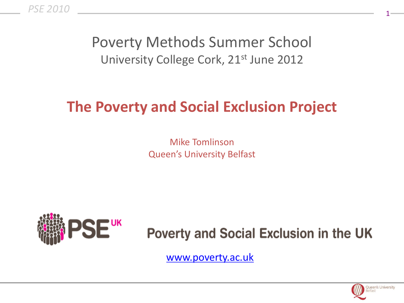*PSE 2010*

### Poverty Methods Summer School University College Cork, 21<sup>st</sup> June 2012

### **The Poverty and Social Exclusion Project**

Mike Tomlinson Queen's University Belfast



**Poverty and Social Exclusion in the UK** 

[www.poverty.ac.uk](http://www.poverty.ac.uk)

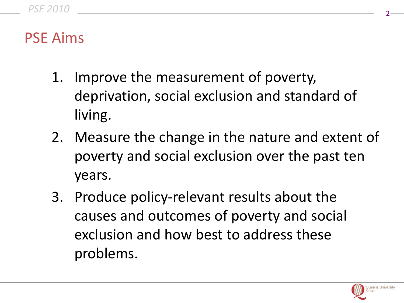### PSE Aims

- 1. Improve the measurement of poverty, deprivation, social exclusion and standard of living.
- 2. Measure the change in the nature and extent of poverty and social exclusion over the past ten years.
- 3. Produce policy-relevant results about the causes and outcomes of poverty and social exclusion and how best to address these problems.

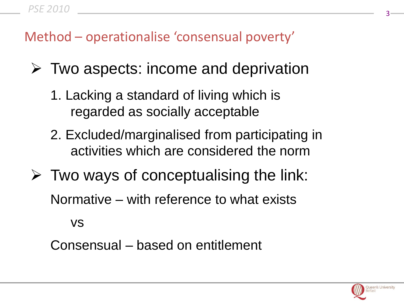### Method – operationalise 'consensual poverty'

- $\triangleright$  Two aspects: income and deprivation
	- 1. Lacking a standard of living which is regarded as socially acceptable
	- 2. Excluded/marginalised from participating in activities which are considered the norm
- $\triangleright$  Two ways of conceptualising the link: Normative – with reference to what exists

vs

Consensual – based on entitlement

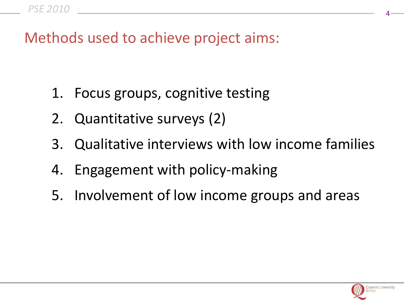Methods used to achieve project aims:

- 1. Focus groups, cognitive testing
- 2. Quantitative surveys (2)
- 3. Qualitative interviews with low income families
- 4. Engagement with policy-making
- 5. Involvement of low income groups and areas

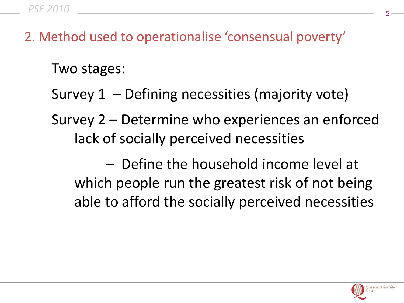2. Method used to operationalise 'consensual poverty'

Two stages:

- Survey 1 Defining necessities (majority vote)
- Survey 2 Determine who experiences an enforced lack of socially perceived necessities
	- Define the household income level at which people run the greatest risk of not being able to afford the socially perceived necessities

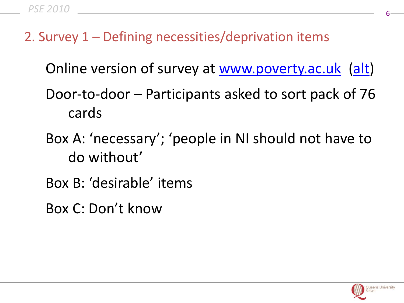2. Survey 1 – Defining necessities/deprivation items

Online version of survey at [www.poverty.ac.uk](http://www.poverty.ac.uk) ([alt\)](file://localhost/Users/miketomlinson/Desktop/CorkiMac/What%20is%20poverty)

- Door-to-door Participants asked to sort pack of 76 cards
- Box A: 'necessary'; 'people in NI should not have to do without'
- Box B: 'desirable' items
- Box C: Don't know

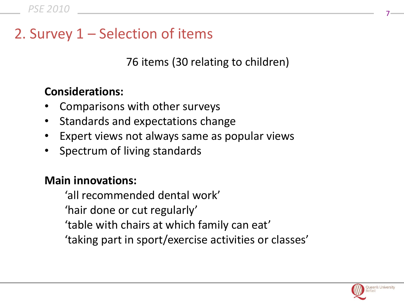### 2. Survey 1 – Selection of items

76 items (30 relating to children)

#### **Considerations:**

- Comparisons with other surveys
- Standards and expectations change
- Expert views not always same as popular views
- Spectrum of living standards

#### **Main innovations:**

'all recommended dental work' 'hair done or cut regularly' 'table with chairs at which family can eat' 'taking part in sport/exercise activities or classes'

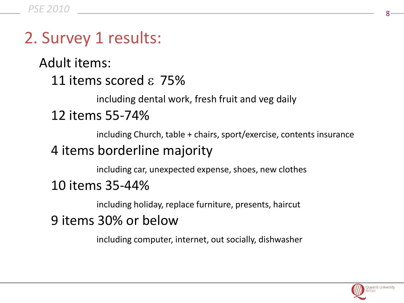### 2. Survey 1 results:

Adult items: 11 items scored  $\epsilon$  75%

including dental work, fresh fruit and veg daily

#### 12 items 55-74%

including Church, table + chairs, sport/exercise, contents insurance

### 4 items borderline majority

including car, unexpected expense, shoes, new clothes

#### 10 items 35-44%

including holiday, replace furniture, presents, haircut

### 9 items 30% or below

including computer, internet, out socially, dishwasher

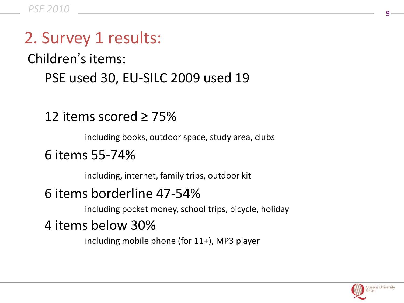# 2. Survey 1 results:

Children's items:

PSE used 30, EU-SILC 2009 used 19

### 12 items scored ≥ 75%

including books, outdoor space, study area, clubs

#### 6 items 55-74%

including, internet, family trips, outdoor kit

#### 6 items borderline 47-54%

including pocket money, school trips, bicycle, holiday

### 4 items below 30%

including mobile phone (for 11+), MP3 player

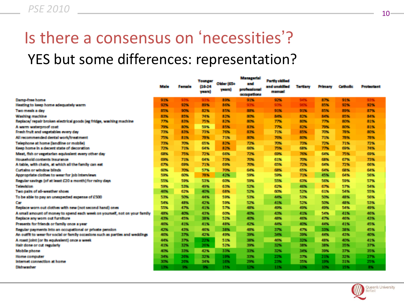# Is there a consensus on 'necessities'? YES but some differences: representation?

|                                                                                | Male | <b>Formula</b> | Younger<br>88.24<br>years) | Older (654)<br>ecennik | Managerial<br>and.<br><b>professional</b><br><b>MARKET AND REAL PROPERTY</b> | <b>Partiy skilled</b><br>and unditiled<br>man nuni | Tertians    | Primary    | <b>Catholic</b> | Protestant      |
|--------------------------------------------------------------------------------|------|----------------|----------------------------|------------------------|------------------------------------------------------------------------------|----------------------------------------------------|-------------|------------|-----------------|-----------------|
| Damp-free home                                                                 | 93%  | 93%            | 93%                        | 89%                    | 91%                                                                          | 92%                                                | 94%         | <b>ATM</b> | 91%             | 93%             |
| Heating to keep home adequately warm                                           | 93%  | 93%            | <b>图字解:</b>                | <b>B6%</b>             | 9,3%                                                                         | 93%                                                | 9676        | 15%        | 9356            | 92%             |
| Two meals a day                                                                | 85%  | 90%            | 82%                        | 85%                    | 脚踏。                                                                          | 91%                                                | 91%         | 1556       | <b>BOOK</b>     | 87%             |
| Waching machine                                                                | 83%  | 85%            | 74%                        | 83%                    | <b>BOW</b>                                                                   | 藤都城                                                | 83%         | <b>B4%</b> | 85%             | 84%             |
| Replace/ regair broken electrical spods (es fridas, washing machine-           | 77%  | 83%            | 75%                        | 83%                    | <b>BOW</b>                                                                   | 77%                                                | <b>BONG</b> | 77%        | BONG.           | 81%             |
| A warm waterproof cost.                                                        | 72%  | <b>BOSS</b>    | 59%                        | 85%                    | <b>BLINK</b>                                                                 | 77%                                                | 83%         | 79%        | BONG.           | <b>B1%</b>      |
| Fresh fruit and weastables every day                                           | 7.1% | 83%            | 73%                        | 76%                    | <b>BLYN:</b>                                                                 | 71%                                                | 85%         | 70%        | 78%             | 80%             |
| All recommended dental work/treatment                                          | 75%  | 83%            | 78%                        | 71%                    | <b>BOW</b>                                                                   | 76%                                                | <b>BONG</b> | 71%        | 78.54           | 78%             |
| Telephone at home (landline or mobile)                                         | 73%  | 70%            | 45%                        | 82%                    | 72%                                                                          | 70%                                                | 73%         | 77%        | 71%             | 72%             |
| Keep home in a decent state of decoration.                                     | 7,7% | 71%            | 64%                        | 12%                    | 66%                                                                          | 75%                                                | 国家          | 77%        | 69%             | 74%             |
| Mest, fish or vegetarian equivalent every other day.                           | 63%  | 75%            | 72%                        | 66%                    | 72%                                                                          | <b>CONG</b>                                        | 70%         | 64%        | 75%             | 69%             |
| Household contents insurance                                                   | 69%  | 71%            | 64%                        | 7356                   | 70%                                                                          | 61%                                                | 70%         | <b>GBN</b> | 67%             | 73%             |
| A table, with chairs, at which all the family can eat.                         | 67%  | 69%            | 71%                        | 69%                    | 70%                                                                          | 65%                                                | 77%         | 64%        | 72%             | 66%             |
| Curtains or window bilinds.                                                    | 60%  | 70%            | 57%                        | 70%                    | <b>GANG</b>                                                                  | <b>GIN</b>                                         | 6555        | 64%        | 68%             | <b>GAN</b>      |
| Appropriate clothes to wear for lob interviews                                 | 59%  | 60%            | 70%                        | 42%                    | 557%                                                                         | 5000                                               | 71%         | 45%        | 64%             | 56%             |
| Regular sayings (of at least £20 a month) for rainy days.                      | 55%  | 59%            | 5356                       | 60%                    | 550%                                                                         | 55%                                                | 63%         | 5656       | 59%             | 57%             |
| Television                                                                     | 59%  | 53%            | 49%                        | 63%                    | 52%                                                                          | 62%                                                | 4876        | <b>67%</b> | 53%             | 54%             |
| Two pairs of all-weather shoes.                                                | 40%  | 6296           | 40%                        | 68%                    | 52%                                                                          | <b>CON</b>                                         | 52%         | 61%        | 54%             | 55%             |
| To be able to pay an unexpected expense of £500                                | 53%  | 50%            | 44%                        | 59%                    | 53%                                                                          | 44%                                                | 53%         | 5056       | 48%             | 56%             |
| <b>Car</b>                                                                     | 54%  | 48%            | 42%                        | 59%                    | 52%                                                                          | 41%                                                | 5396        | 50%        | 48%             | 53%             |
| Replace worn out clothes with new (not second hand) ones.                      | 55%  | 47%            | 41%                        | 53%                    | 48%                                                                          | 40%                                                | 49%         | 4996       | 54%             | 49%             |
| A small amount of money to spend each week on yourself, not on your family     | 48%  | 40%            | 43%                        | 60%                    | 40%                                                                          | 43%                                                | 41%         | 54%        | 41%             | 46%             |
| Replace any worn out furniture.                                                | 43%  | 45%            | 38%                        | 53%                    | 400%                                                                         | 48%                                                | 48%         | <b>ATK</b> | 46%             | 43%             |
| Presents for friends or family once a year.                                    | 40%  | 43%            | 43%                        | 48%                    | 42%                                                                          | 44%                                                | 40%         | 44%        | 4350            | 45%.            |
| Regular payments into an occupational or private pension.                      | 42%  | 43%            | 46%                        | 38%                    | 48%                                                                          | 37%                                                | 47%         | 1316       | 3856            | 45%             |
| An outfit to wear for social or family occasions such as parties and weddings. | 40%  | 37%            | 42%                        | 49%                    | 3576                                                                         | 34%                                                | 39%         | 44%        | 43%             | 40%             |
| A roast loint (or its equivalent) once a week                                  | 44%  | 37%            | 22%                        | 51%                    | 38%                                                                          | 46%                                                | 32%         | 48%        | 40%             | 41%             |
| Hair done or cut regularly                                                     | 43%  | 32%            | 26%                        | 53%                    | 357%                                                                         | 3256                                               | 38%         | 3856       | 35%             | NPM <sub></sub> |
| Mobile phone                                                                   | 40%  | 33%            | 42%                        | 33%                    | 3376                                                                         | 30256                                              | 34%         | 3996       | 3756            | 35%             |
| <b>Home contractor</b>                                                         | 34%  | 20%            | 17%                        | 1906                   | 3376                                                                         | 22%                                                | 37%         | 21%        | 3256            | 27%             |
| Internet connection at home                                                    | 30%  | 20%            | 34%                        | 10%                    | 29%                                                                          | 23%                                                | 35%         | 19%        | 31%             | 25%             |
| Distances there                                                                | 1394 | 576.           | 950                        | 15%                    | 12%                                                                          | 11%                                                | 11%         | 10%        | 15%.            | 85.             |

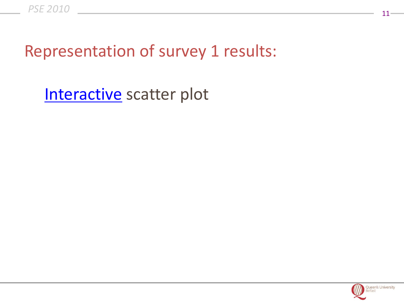## Representation of survey 1 results:

[Interactive](file://localhost/Users/miketomlinson/Desktop/CorkiMac/NI2011/adult/index.html) scatter plot

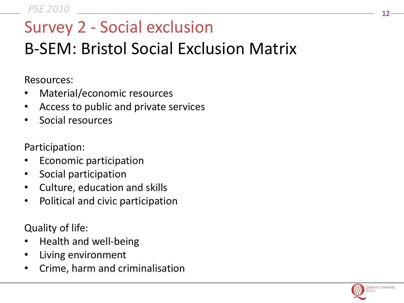# Survey 2 - Social exclusion

# B-SEM: Bristol Social Exclusion Matrix

Resources:

- Material/economic resources
- Access to public and private services
- Social resources

Participation:

- Economic participation
- Social participation
- Culture, education and skills
- Political and civic participation

Quality of life:

- Health and well-being
- Living environment
- Crime, harm and criminalisation

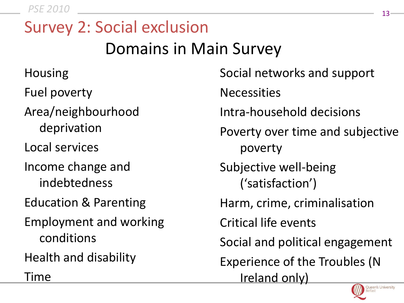<sup>13</sup> *PSE 2010*

# Survey 2: Social exclusion Domains in Main Survey

Housing Fuel poverty Area/neighbourhood deprivation Local services Income change and indebtedness Education & Parenting Employment and working conditions Health and disability Time

Social networks and support **Necessities** Intra-household decisions Poverty over time and subjective poverty Subjective well-being ('satisfaction') Harm, crime, criminalisation Critical life events Social and political engagement Experience of the Troubles (N Ireland only) **Queen's University** 

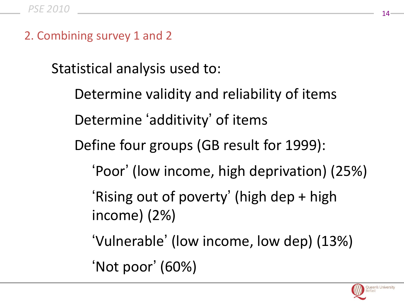2. Combining survey 1 and 2

Statistical analysis used to:

Determine validity and reliability of items Determine 'additivity' of items Define four groups (GB result for 1999): 'Poor' (low income, high deprivation) (25%) 'Rising out of poverty' (high dep + high income) (2%) 'Vulnerable' (low income, low dep) (13%)

'Not poor' (60%)

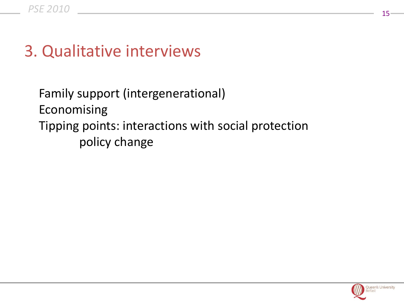## 3. Qualitative interviews

Family support (intergenerational) Economising Tipping points: interactions with social protection policy change

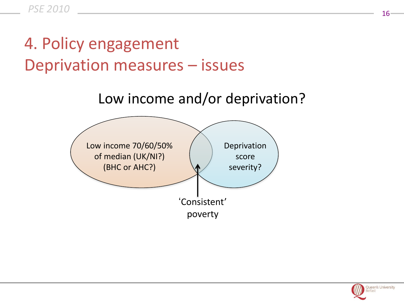# 4. Policy engagement Deprivation measures – issues





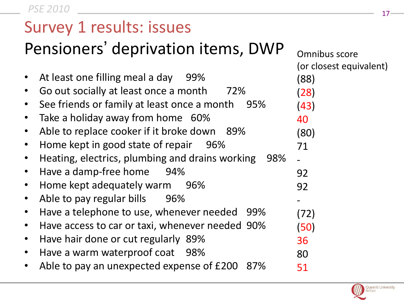<sup>17</sup> *PSE 2010*

### Survey 1 results: issues

# Pensioners' deprivation items, DWP

|           |                                                        | (or closest equivalent) |
|-----------|--------------------------------------------------------|-------------------------|
|           | At least one filling meal a day 99%                    | (88)                    |
|           | Go out socially at least once a month<br>72%           | (28)                    |
|           | See friends or family at least once a month<br>95%     | (43)                    |
|           | Take a holiday away from home 60%                      | 40                      |
| $\bullet$ | Able to replace cooker if it broke down 89%            | (80)                    |
|           | Home kept in good state of repair 96%                  | 71                      |
|           | Heating, electrics, plumbing and drains working<br>98% |                         |
| $\bullet$ | Have a damp-free home<br>94%                           | 92                      |
|           | Home kept adequately warm 96%                          | 92                      |
| $\bullet$ | Able to pay regular bills<br>96%                       |                         |
|           | Have a telephone to use, whenever needed 99%           | (72)                    |
|           | Have access to car or taxi, whenever needed 90%        | (50)                    |
| $\bullet$ | Have hair done or cut regularly 89%                    | 36                      |
|           | Have a warm waterproof coat 98%                        | 80                      |
|           | Able to pay an unexpected expense of £200 87%          | 51                      |
|           |                                                        |                         |



Omnibus score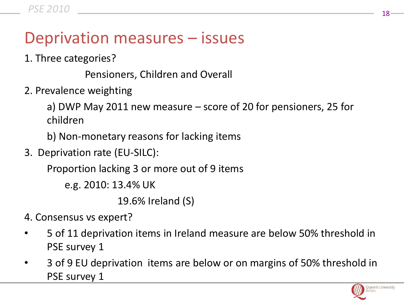### Deprivation measures – issues

1. Three categories?

Pensioners, Children and Overall

2. Prevalence weighting

a) DWP May 2011 new measure – score of 20 for pensioners, 25 for children

b) Non-monetary reasons for lacking items

3. Deprivation rate (EU-SILC):

Proportion lacking 3 or more out of 9 items

e.g. 2010: 13.4% UK

19.6% Ireland (S)

- 4. Consensus vs expert?
- 5 of 11 deprivation items in Ireland measure are below 50% threshold in PSE survey 1
- 3 of 9 EU deprivation items are below or on margins of 50% threshold in PSE survey 1

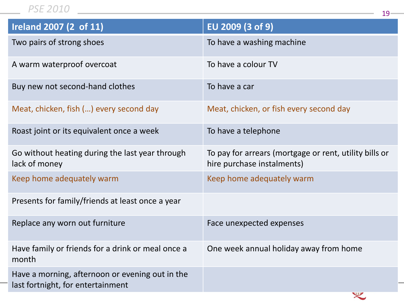#### <sup>19</sup> *PSE 2010*

| <b>Ireland 2007 (2 of 11)</b>                                                        | EU 2009 (3 of 9)                                                                     |
|--------------------------------------------------------------------------------------|--------------------------------------------------------------------------------------|
| Two pairs of strong shoes                                                            | To have a washing machine                                                            |
| A warm waterproof overcoat                                                           | To have a colour TV                                                                  |
| Buy new not second-hand clothes                                                      | To have a car                                                                        |
| Meat, chicken, fish () every second day                                              | Meat, chicken, or fish every second day                                              |
| Roast joint or its equivalent once a week                                            | To have a telephone                                                                  |
| Go without heating during the last year through<br>lack of money                     | To pay for arrears (mortgage or rent, utility bills or<br>hire purchase instalments) |
| Keep home adequately warm                                                            | Keep home adequately warm                                                            |
| Presents for family/friends at least once a year                                     |                                                                                      |
| Replace any worn out furniture                                                       | Face unexpected expenses                                                             |
| Have family or friends for a drink or meal once a<br>month                           | One week annual holiday away from home                                               |
| Have a morning, afternoon or evening out in the<br>last fortnight, for entertainment |                                                                                      |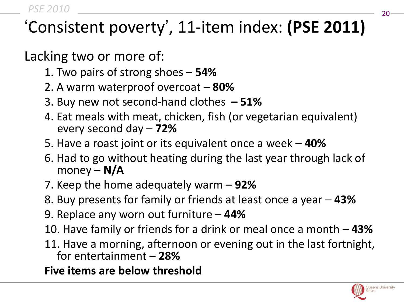# 'Consistent poverty', 11-item index: **(PSE 2011)**

Lacking two or more of:

- 1. Two pairs of strong shoes **54%**
- 2. A warm waterproof overcoat **80%**
- 3. Buy new not second-hand clothes **– 51%**
- 4. Eat meals with meat, chicken, fish (or vegetarian equivalent) every second day – **72%**
- 5. Have a roast joint or its equivalent once a week **– 40%**
- 6. Had to go without heating during the last year through lack of money – **N/A**
- 7. Keep the home adequately warm **92%**
- 8. Buy presents for family or friends at least once a year **43%**
- 9. Replace any worn out furniture **44%**
- 10. Have family or friends for a drink or meal once a month **43%**
- 11. Have a morning, afternoon or evening out in the last fortnight, for entertainment – **28%**

**Five items are below threshold**

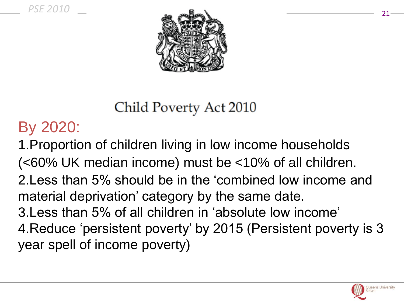

Child Poverty Act 2010

## By 2020:

1.Proportion of children living in low income households (<60% UK median income) must be <10% of all children. 2.Less than 5% should be in the 'combined low income and material deprivation' category by the same date. 3.Less than 5% of all children in 'absolute low income' 4.Reduce 'persistent poverty' by 2015 (Persistent poverty is 3 year spell of income poverty)

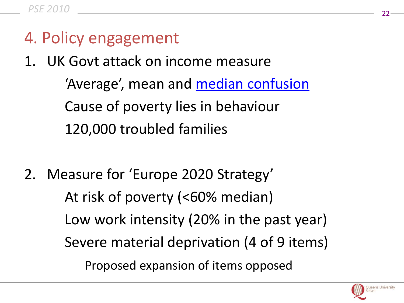- 4. Policy engagement
- 1. UK Govt attack on income measure

'Average', mean and **[median confusion](http://www.poverty.ac.uk/content/Income%20threshold%20approach)** Cause of poverty lies in behaviour 120,000 troubled families

2. Measure for 'Europe 2020 Strategy' At risk of poverty (<60% median) Low work intensity (20% in the past year) Severe material deprivation (4 of 9 items) Proposed expansion of items opposed